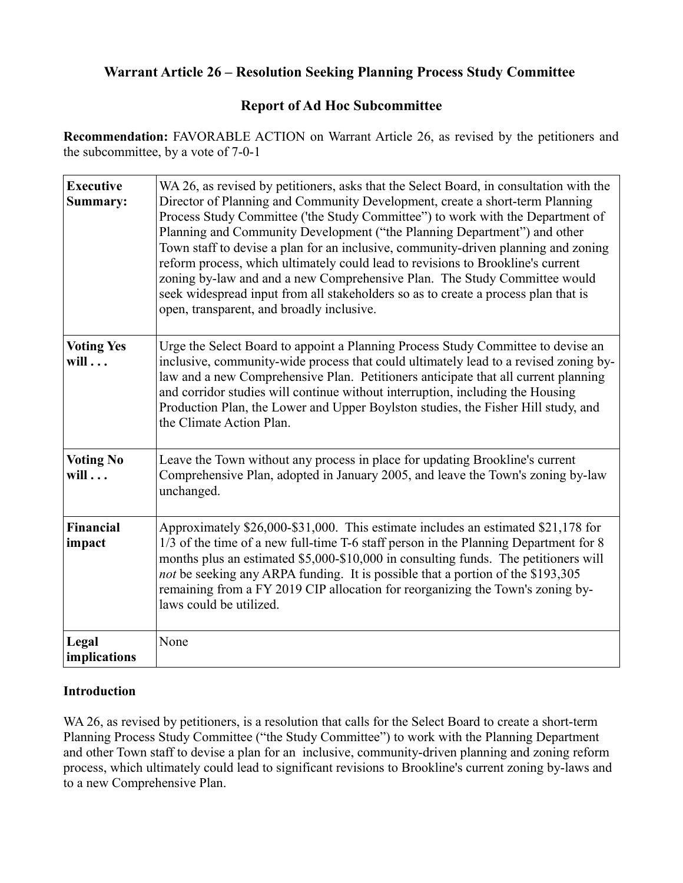# **Warrant Article 26 – Resolution Seeking Planning Process Study Committee**

# **Report of Ad Hoc Subcommittee**

**Recommendation:** FAVORABLE ACTION on Warrant Article 26, as revised by the petitioners and the subcommittee, by a vote of 7-0-1

| <b>Executive</b><br>Summary:      | WA 26, as revised by petitioners, asks that the Select Board, in consultation with the<br>Director of Planning and Community Development, create a short-term Planning<br>Process Study Committee ('the Study Committee'') to work with the Department of<br>Planning and Community Development ("the Planning Department") and other<br>Town staff to devise a plan for an inclusive, community-driven planning and zoning<br>reform process, which ultimately could lead to revisions to Brookline's current<br>zoning by-law and and a new Comprehensive Plan. The Study Committee would<br>seek widespread input from all stakeholders so as to create a process plan that is<br>open, transparent, and broadly inclusive. |
|-----------------------------------|--------------------------------------------------------------------------------------------------------------------------------------------------------------------------------------------------------------------------------------------------------------------------------------------------------------------------------------------------------------------------------------------------------------------------------------------------------------------------------------------------------------------------------------------------------------------------------------------------------------------------------------------------------------------------------------------------------------------------------|
| <b>Voting Yes</b><br>$will \dots$ | Urge the Select Board to appoint a Planning Process Study Committee to devise an<br>inclusive, community-wide process that could ultimately lead to a revised zoning by-<br>law and a new Comprehensive Plan. Petitioners anticipate that all current planning<br>and corridor studies will continue without interruption, including the Housing<br>Production Plan, the Lower and Upper Boylston studies, the Fisher Hill study, and<br>the Climate Action Plan.                                                                                                                                                                                                                                                              |
| <b>Voting No</b><br>$will \dots$  | Leave the Town without any process in place for updating Brookline's current<br>Comprehensive Plan, adopted in January 2005, and leave the Town's zoning by-law<br>unchanged.                                                                                                                                                                                                                                                                                                                                                                                                                                                                                                                                                  |
| <b>Financial</b><br>impact        | Approximately \$26,000-\$31,000. This estimate includes an estimated \$21,178 for<br>1/3 of the time of a new full-time T-6 staff person in the Planning Department for 8<br>months plus an estimated \$5,000-\$10,000 in consulting funds. The petitioners will<br>not be seeking any ARPA funding. It is possible that a portion of the \$193,305<br>remaining from a FY 2019 CIP allocation for reorganizing the Town's zoning by-<br>laws could be utilized.                                                                                                                                                                                                                                                               |
| Legal<br>implications             | None                                                                                                                                                                                                                                                                                                                                                                                                                                                                                                                                                                                                                                                                                                                           |

### **Introduction**

WA 26, as revised by petitioners, is a resolution that calls for the Select Board to create a short-term Planning Process Study Committee ("the Study Committee") to work with the Planning Department and other Town staff to devise a plan for an inclusive, community-driven planning and zoning reform process, which ultimately could lead to significant revisions to Brookline's current zoning by-laws and to a new Comprehensive Plan.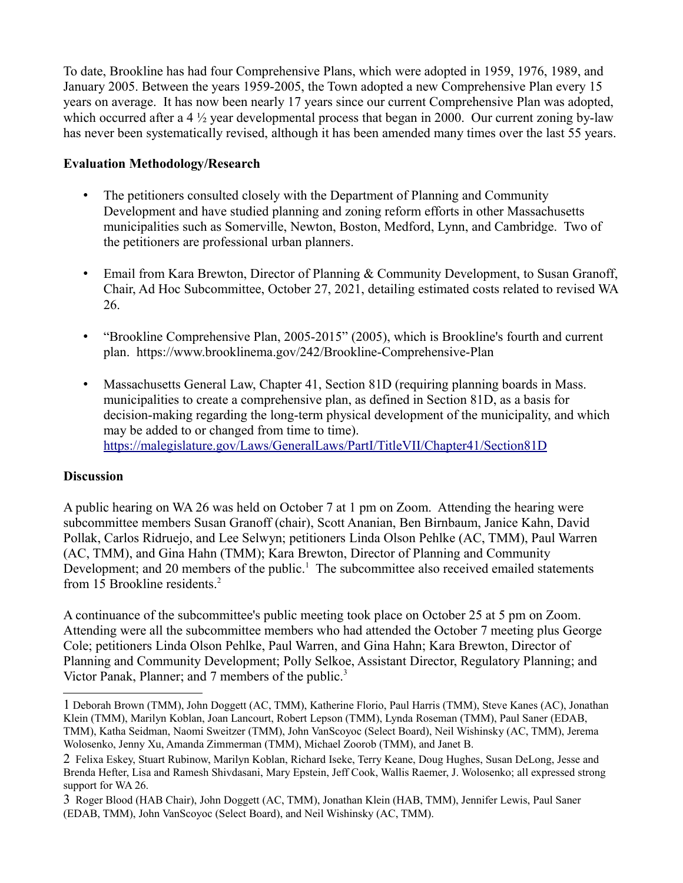To date, Brookline has had four Comprehensive Plans, which were adopted in 1959, 1976, 1989, and January 2005. Between the years 1959-2005, the Town adopted a new Comprehensive Plan every 15 years on average. It has now been nearly 17 years since our current Comprehensive Plan was adopted, which occurred after a 4  $\frac{1}{2}$  year developmental process that began in 2000. Our current zoning by-law has never been systematically revised, although it has been amended many times over the last 55 years.

### **Evaluation Methodology/Research**

- The petitioners consulted closely with the Department of Planning and Community Development and have studied planning and zoning reform efforts in other Massachusetts municipalities such as Somerville, Newton, Boston, Medford, Lynn, and Cambridge. Two of the petitioners are professional urban planners.
- Email from Kara Brewton, Director of Planning & Community Development, to Susan Granoff, Chair, Ad Hoc Subcommittee, October 27, 2021, detailing estimated costs related to revised WA 26.
- "Brookline Comprehensive Plan, 2005-2015" (2005), which is Brookline's fourth and current plan. https://www.brooklinema.gov/242/Brookline-Comprehensive-Plan
- Massachusetts General Law, Chapter 41, Section 81D (requiring planning boards in Mass. municipalities to create a comprehensive plan, as defined in Section 81D, as a basis for decision-making regarding the long-term physical development of the municipality, and which may be added to or changed from time to time). <https://malegislature.gov/Laws/GeneralLaws/PartI/TitleVII/Chapter41/Section81D>

### **Discussion**

A public hearing on WA 26 was held on October 7 at 1 pm on Zoom. Attending the hearing were subcommittee members Susan Granoff (chair), Scott Ananian, Ben Birnbaum, Janice Kahn, David Pollak, Carlos Ridruejo, and Lee Selwyn; petitioners Linda Olson Pehlke (AC, TMM), Paul Warren (AC, TMM), and Gina Hahn (TMM); Kara Brewton, Director of Planning and Community Development; and 20 members of the public.<sup>[1](#page-1-0)</sup> The subcommittee also received emailed statements from 15 Brookline residents. $<sup>2</sup>$  $<sup>2</sup>$  $<sup>2</sup>$ </sup>

A continuance of the subcommittee's public meeting took place on October 25 at 5 pm on Zoom. Attending were all the subcommittee members who had attended the October 7 meeting plus George Cole; petitioners Linda Olson Pehlke, Paul Warren, and Gina Hahn; Kara Brewton, Director of Planning and Community Development; Polly Selkoe, Assistant Director, Regulatory Planning; and Victor Panak, Planner; and 7 members of the public.<sup>[3](#page-1-2)</sup>

<span id="page-1-0"></span><sup>1</sup> Deborah Brown (TMM), John Doggett (AC, TMM), Katherine Florio, Paul Harris (TMM), Steve Kanes (AC), Jonathan Klein (TMM), Marilyn Koblan, Joan Lancourt, Robert Lepson (TMM), Lynda Roseman (TMM), Paul Saner (EDAB, TMM), Katha Seidman, Naomi Sweitzer (TMM), John VanScoyoc (Select Board), Neil Wishinsky (AC, TMM), Jerema Wolosenko, Jenny Xu, Amanda Zimmerman (TMM), Michael Zoorob (TMM), and Janet B.

<span id="page-1-1"></span><sup>2</sup> Felixa Eskey, Stuart Rubinow, Marilyn Koblan, Richard Iseke, Terry Keane, Doug Hughes, Susan DeLong, Jesse and Brenda Hefter, Lisa and Ramesh Shivdasani, Mary Epstein, Jeff Cook, Wallis Raemer, J. Wolosenko; all expressed strong support for WA 26.

<span id="page-1-2"></span><sup>3</sup> Roger Blood (HAB Chair), John Doggett (AC, TMM), Jonathan Klein (HAB, TMM), Jennifer Lewis, Paul Saner (EDAB, TMM), John VanScoyoc (Select Board), and Neil Wishinsky (AC, TMM).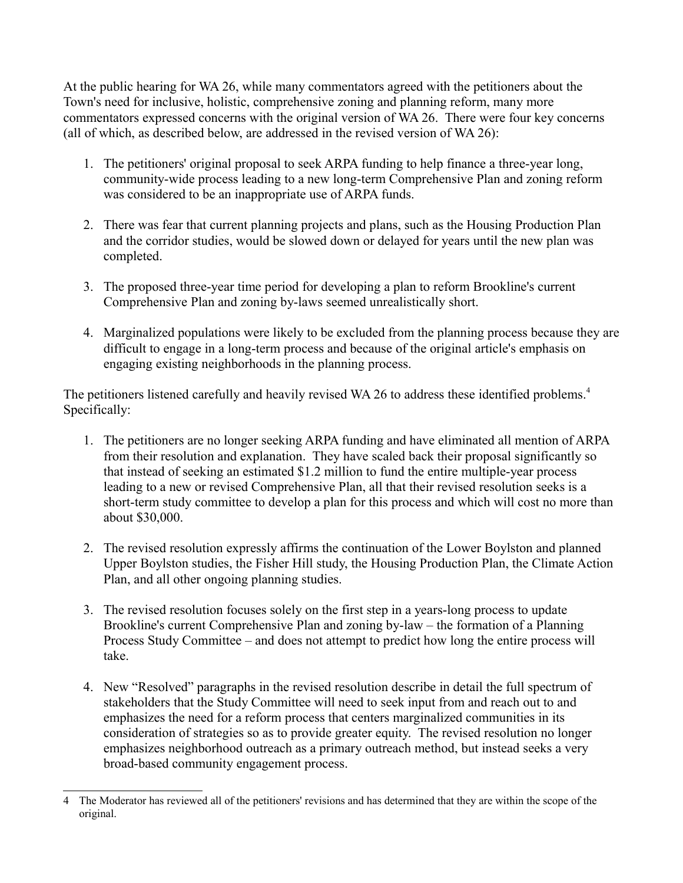At the public hearing for WA 26, while many commentators agreed with the petitioners about the Town's need for inclusive, holistic, comprehensive zoning and planning reform, many more commentators expressed concerns with the original version of WA 26. There were four key concerns (all of which, as described below, are addressed in the revised version of WA 26):

- 1. The petitioners' original proposal to seek ARPA funding to help finance a three-year long, community-wide process leading to a new long-term Comprehensive Plan and zoning reform was considered to be an inappropriate use of ARPA funds.
- 2. There was fear that current planning projects and plans, such as the Housing Production Plan and the corridor studies, would be slowed down or delayed for years until the new plan was completed.
- 3. The proposed three-year time period for developing a plan to reform Brookline's current Comprehensive Plan and zoning by-laws seemed unrealistically short.
- 4. Marginalized populations were likely to be excluded from the planning process because they are difficult to engage in a long-term process and because of the original article's emphasis on engaging existing neighborhoods in the planning process.

The petitioners listened carefully and heavily revised WA 26 to address these identified problems.<sup>[4](#page-2-0)</sup> Specifically:

- 1. The petitioners are no longer seeking ARPA funding and have eliminated all mention of ARPA from their resolution and explanation. They have scaled back their proposal significantly so that instead of seeking an estimated \$1.2 million to fund the entire multiple-year process leading to a new or revised Comprehensive Plan, all that their revised resolution seeks is a short-term study committee to develop a plan for this process and which will cost no more than about \$30,000.
- 2. The revised resolution expressly affirms the continuation of the Lower Boylston and planned Upper Boylston studies, the Fisher Hill study, the Housing Production Plan, the Climate Action Plan, and all other ongoing planning studies.
- 3. The revised resolution focuses solely on the first step in a years-long process to update Brookline's current Comprehensive Plan and zoning by-law – the formation of a Planning Process Study Committee – and does not attempt to predict how long the entire process will take.
- 4. New "Resolved" paragraphs in the revised resolution describe in detail the full spectrum of stakeholders that the Study Committee will need to seek input from and reach out to and emphasizes the need for a reform process that centers marginalized communities in its consideration of strategies so as to provide greater equity. The revised resolution no longer emphasizes neighborhood outreach as a primary outreach method, but instead seeks a very broad-based community engagement process.

<span id="page-2-0"></span><sup>4</sup> The Moderator has reviewed all of the petitioners' revisions and has determined that they are within the scope of the original.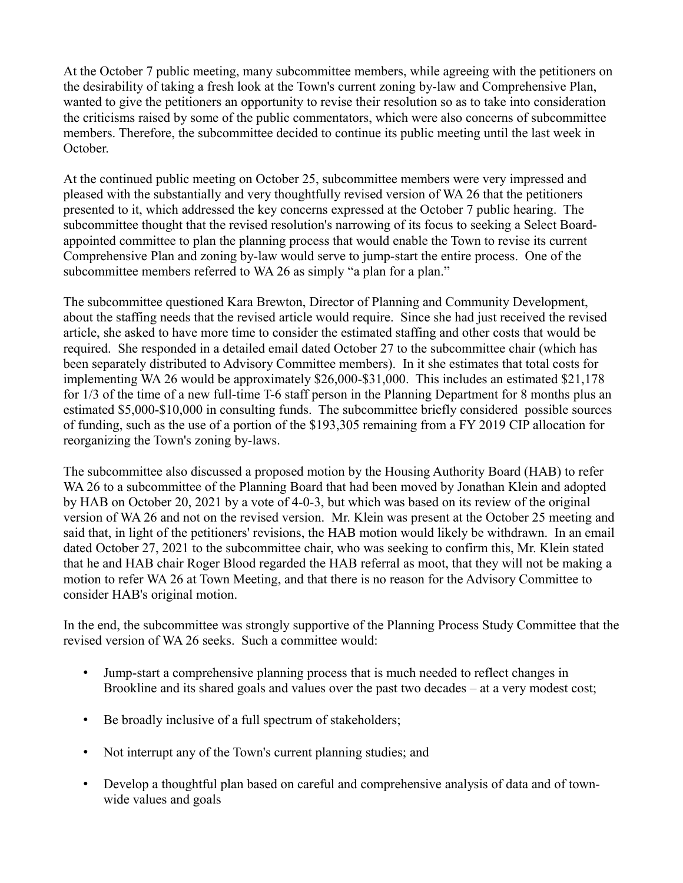At the October 7 public meeting, many subcommittee members, while agreeing with the petitioners on the desirability of taking a fresh look at the Town's current zoning by-law and Comprehensive Plan, wanted to give the petitioners an opportunity to revise their resolution so as to take into consideration the criticisms raised by some of the public commentators, which were also concerns of subcommittee members. Therefore, the subcommittee decided to continue its public meeting until the last week in October.

At the continued public meeting on October 25, subcommittee members were very impressed and pleased with the substantially and very thoughtfully revised version of WA 26 that the petitioners presented to it, which addressed the key concerns expressed at the October 7 public hearing. The subcommittee thought that the revised resolution's narrowing of its focus to seeking a Select Boardappointed committee to plan the planning process that would enable the Town to revise its current Comprehensive Plan and zoning by-law would serve to jump-start the entire process. One of the subcommittee members referred to WA 26 as simply "a plan for a plan."

The subcommittee questioned Kara Brewton, Director of Planning and Community Development, about the staffing needs that the revised article would require. Since she had just received the revised article, she asked to have more time to consider the estimated staffing and other costs that would be required. She responded in a detailed email dated October 27 to the subcommittee chair (which has been separately distributed to Advisory Committee members). In it she estimates that total costs for implementing WA 26 would be approximately \$26,000-\$31,000. This includes an estimated \$21,178 for 1/3 of the time of a new full-time T-6 staff person in the Planning Department for 8 months plus an estimated \$5,000-\$10,000 in consulting funds. The subcommittee briefly considered possible sources of funding, such as the use of a portion of the \$193,305 remaining from a FY 2019 CIP allocation for reorganizing the Town's zoning by-laws.

The subcommittee also discussed a proposed motion by the Housing Authority Board (HAB) to refer WA 26 to a subcommittee of the Planning Board that had been moved by Jonathan Klein and adopted by HAB on October 20, 2021 by a vote of 4-0-3, but which was based on its review of the original version of WA 26 and not on the revised version. Mr. Klein was present at the October 25 meeting and said that, in light of the petitioners' revisions, the HAB motion would likely be withdrawn. In an email dated October 27, 2021 to the subcommittee chair, who was seeking to confirm this, Mr. Klein stated that he and HAB chair Roger Blood regarded the HAB referral as moot, that they will not be making a motion to refer WA 26 at Town Meeting, and that there is no reason for the Advisory Committee to consider HAB's original motion.

In the end, the subcommittee was strongly supportive of the Planning Process Study Committee that the revised version of WA 26 seeks. Such a committee would:

- Jump-start a comprehensive planning process that is much needed to reflect changes in Brookline and its shared goals and values over the past two decades – at a very modest cost;
- Be broadly inclusive of a full spectrum of stakeholders;
- Not interrupt any of the Town's current planning studies; and
- Develop a thoughtful plan based on careful and comprehensive analysis of data and of townwide values and goals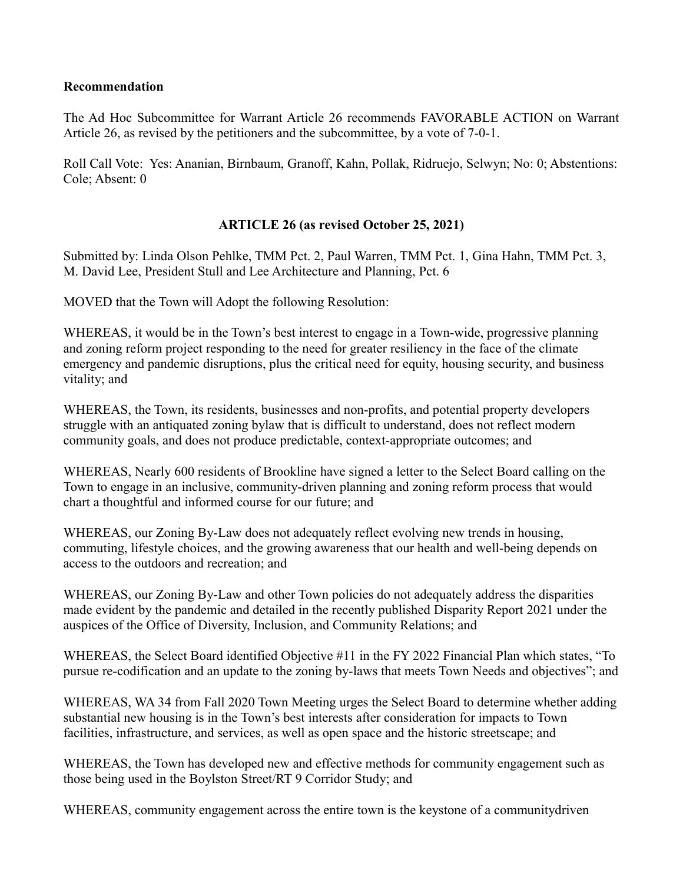#### **Recommendation**

The Ad Hoc Subcommittee for Warrant Article 26 recommends FAVORABLE ACTION on Warrant Article 26, as revised by the petitioners and the subcommittee, by a vote of 7-0-1.

Roll Call Vote: Yes: Ananian, Birnbaum, Granoff, Kahn, Pollak, Ridruejo, Selwyn; No: 0; Abstentions: Cole; Absent: 0

### **ARTICLE 26 (as revised October 25, 2021)**

Submitted by: Linda Olson Pehlke, TMM Pct. 2, Paul Warren, TMM Pct. 1, Gina Hahn, TMM Pct. 3, M. David Lee, President Stull and Lee Architecture and Planning, Pct. 6

MOVED that the Town will Adopt the following Resolution:

WHEREAS, it would be in the Town's best interest to engage in a Town-wide, progressive planning and zoning reform project responding to the need for greater resiliency in the face of the climate emergency and pandemic disruptions, plus the critical need for equity, housing security, and business vitality; and

WHEREAS, the Town, its residents, businesses and non-profits, and potential property developers struggle with an antiquated zoning bylaw that is difficult to understand, does not reflect modern community goals, and does not produce predictable, context-appropriate outcomes; and

WHEREAS, Nearly 600 residents of Brookline have signed a letter to the Select Board calling on the Town to engage in an inclusive, community-driven planning and zoning reform process that would chart a thoughtful and informed course for our future; and

WHEREAS, our Zoning By-Law does not adequately reflect evolving new trends in housing, commuting, lifestyle choices, and the growing awareness that our health and well-being depends on access to the outdoors and recreation; and

WHEREAS, our Zoning By-Law and other Town policies do not adequately address the disparities made evident by the pandemic and detailed in the recently published Disparity Report 2021 under the auspices of the Office of Diversity, Inclusion, and Community Relations; and

WHEREAS, the Select Board identified Objective #11 in the FY 2022 Financial Plan which states, "To pursue re-codification and an update to the zoning by-laws that meets Town Needs and objectives"; and

WHEREAS, WA 34 from Fall 2020 Town Meeting urges the Select Board to determine whether adding substantial new housing is in the Town's best interests after consideration for impacts to Town facilities, infrastructure, and services, as well as open space and the historic streetscape; and

WHEREAS, the Town has developed new and effective methods for community engagement such as those being used in the Boylston Street/RT 9 Corridor Study; and

WHEREAS, community engagement across the entire town is the keystone of a communitydriven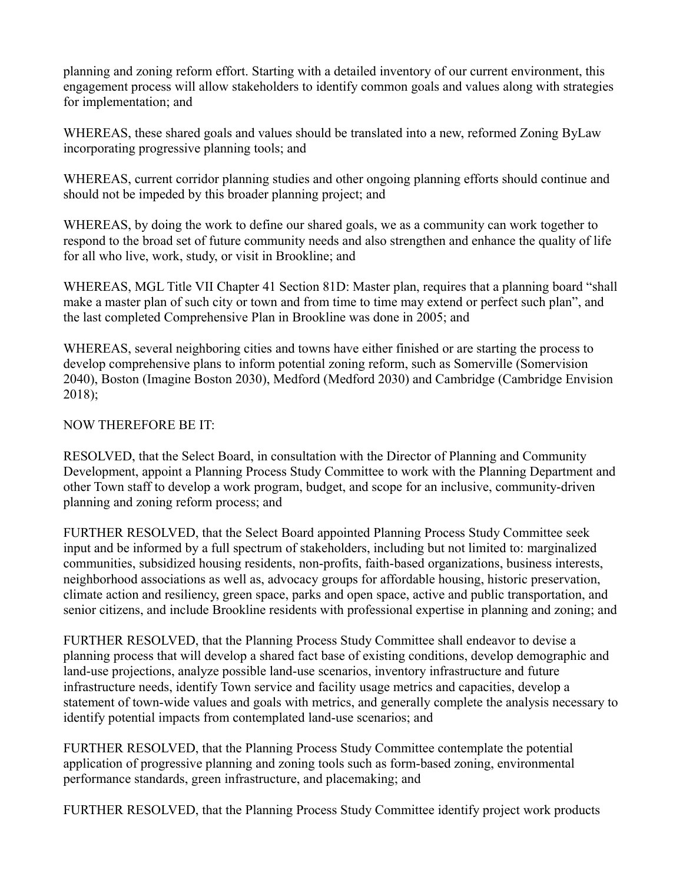planning and zoning reform effort. Starting with a detailed inventory of our current environment, this engagement process will allow stakeholders to identify common goals and values along with strategies for implementation; and

WHEREAS, these shared goals and values should be translated into a new, reformed Zoning ByLaw incorporating progressive planning tools; and

WHEREAS, current corridor planning studies and other ongoing planning efforts should continue and should not be impeded by this broader planning project; and

WHEREAS, by doing the work to define our shared goals, we as a community can work together to respond to the broad set of future community needs and also strengthen and enhance the quality of life for all who live, work, study, or visit in Brookline; and

WHEREAS, MGL Title VII Chapter 41 Section 81D: Master plan, requires that a planning board "shall make a master plan of such city or town and from time to time may extend or perfect such plan", and the last completed Comprehensive Plan in Brookline was done in 2005; and

WHEREAS, several neighboring cities and towns have either finished or are starting the process to develop comprehensive plans to inform potential zoning reform, such as Somerville (Somervision 2040), Boston (Imagine Boston 2030), Medford (Medford 2030) and Cambridge (Cambridge Envision 2018);

### NOW THEREFORE BE IT:

RESOLVED, that the Select Board, in consultation with the Director of Planning and Community Development, appoint a Planning Process Study Committee to work with the Planning Department and other Town staff to develop a work program, budget, and scope for an inclusive, community-driven planning and zoning reform process; and

FURTHER RESOLVED, that the Select Board appointed Planning Process Study Committee seek input and be informed by a full spectrum of stakeholders, including but not limited to: marginalized communities, subsidized housing residents, non-profits, faith-based organizations, business interests, neighborhood associations as well as, advocacy groups for affordable housing, historic preservation, climate action and resiliency, green space, parks and open space, active and public transportation, and senior citizens, and include Brookline residents with professional expertise in planning and zoning; and

FURTHER RESOLVED, that the Planning Process Study Committee shall endeavor to devise a planning process that will develop a shared fact base of existing conditions, develop demographic and land-use projections, analyze possible land-use scenarios, inventory infrastructure and future infrastructure needs, identify Town service and facility usage metrics and capacities, develop a statement of town-wide values and goals with metrics, and generally complete the analysis necessary to identify potential impacts from contemplated land-use scenarios; and

FURTHER RESOLVED, that the Planning Process Study Committee contemplate the potential application of progressive planning and zoning tools such as form-based zoning, environmental performance standards, green infrastructure, and placemaking; and

FURTHER RESOLVED, that the Planning Process Study Committee identify project work products